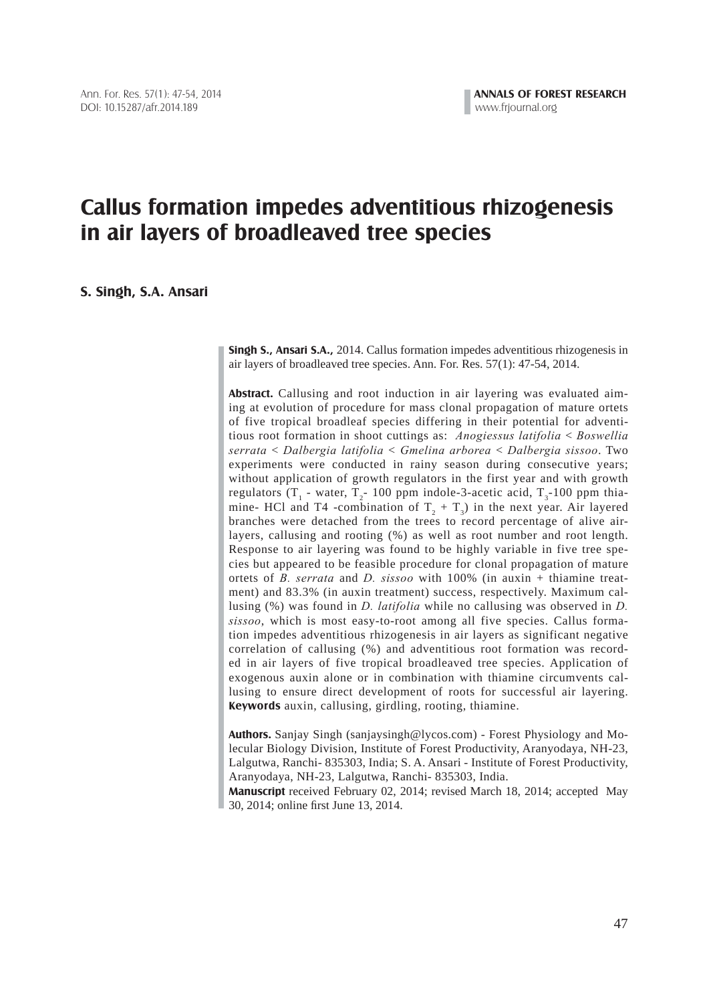# **Callus formation impedes adventitious rhizogenesis in air layers of broadleaved tree species**

**S. Singh, S.A. Ansari**

**Singh S., Ansari S.A.,** 2014. Callus formation impedes adventitious rhizogenesis in air layers of broadleaved tree species. Ann. For. Res. 57(1): 47-54, 2014.

**Abstract.** Callusing and root induction in air layering was evaluated aiming at evolution of procedure for mass clonal propagation of mature ortets of five tropical broadleaf species differing in their potential for adventitious root formation in shoot cuttings as: *Anogiessus latifolia* < *Boswellia serrata* < *Dalbergia latifolia* < *Gmelina arborea* < *Dalbergia sissoo*. Two experiments were conducted in rainy season during consecutive years; without application of growth regulators in the first year and with growth regulators (T<sub>1</sub> - water, T<sub>2</sub> 100 ppm indole-3-acetic acid, T<sub>3</sub>-100 ppm thiamine- HCl and T4 -combination of  $T_2 + T_3$ ) in the next year. Air layered branches were detached from the trees to record percentage of alive airlayers, callusing and rooting (%) as well as root number and root length. Response to air layering was found to be highly variable in five tree species but appeared to be feasible procedure for clonal propagation of mature ortets of *B. serrata* and *D. sissoo* with 100% (in auxin + thiamine treatment) and 83.3% (in auxin treatment) success, respectively. Maximum callusing (%) was found in *D. latifolia* while no callusing was observed in *D. sissoo*, which is most easy-to-root among all five species. Callus formation impedes adventitious rhizogenesis in air layers as significant negative correlation of callusing (%) and adventitious root formation was recorded in air layers of five tropical broadleaved tree species. Application of exogenous auxin alone or in combination with thiamine circumvents callusing to ensure direct development of roots for successful air layering. **Keywords** auxin, callusing, girdling, rooting, thiamine.

**Authors.** Sanjay Singh (sanjaysingh@lycos.com) - Forest Physiology and Molecular Biology Division, Institute of Forest Productivity, Aranyodaya, NH-23, Lalgutwa, Ranchi- 835303, India; S. A. Ansari - Institute of Forest Productivity, Aranyodaya, NH-23, Lalgutwa, Ranchi- 835303, India.

**Manuscript** received February 02, 2014; revised March 18, 2014; accepted May 30, 2014; online first June 13, 2014.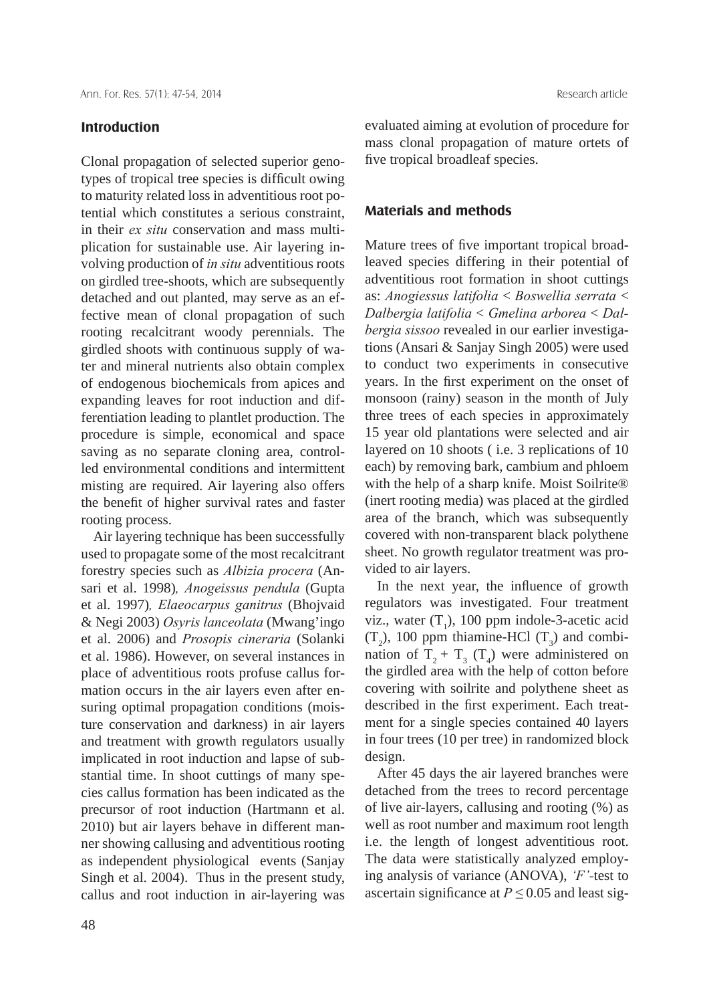#### **Introduction**

Clonal propagation of selected superior genotypes of tropical tree species is difficult owing to maturity related loss in adventitious root potential which constitutes a serious constraint, in their *ex situ* conservation and mass multiplication for sustainable use. Air layering involving production of *in situ* adventitious roots on girdled tree-shoots, which are subsequently detached and out planted, may serve as an effective mean of clonal propagation of such rooting recalcitrant woody perennials. The girdled shoots with continuous supply of water and mineral nutrients also obtain complex of endogenous biochemicals from apices and expanding leaves for root induction and differentiation leading to plantlet production. The procedure is simple, economical and space saving as no separate cloning area, controlled environmental conditions and intermittent misting are required. Air layering also offers the benefit of higher survival rates and faster rooting process.

 Air layering technique has been successfully used to propagate some of the most recalcitrant forestry species such as *Albizia procera* (Ansari et al. 1998)*, Anogeissus pendula* (Gupta et al. 1997)*, Elaeocarpus ganitrus* (Bhojvaid & Negi 2003) *Osyris lanceolata* (Mwang'ingo et al. 2006) and *Prosopis cineraria* (Solanki et al. 1986). However, on several instances in place of adventitious roots profuse callus formation occurs in the air layers even after ensuring optimal propagation conditions (moisture conservation and darkness) in air layers and treatment with growth regulators usually implicated in root induction and lapse of substantial time. In shoot cuttings of many species callus formation has been indicated as the precursor of root induction (Hartmann et al. 2010) but air layers behave in different manner showing callusing and adventitious rooting as independent physiological events (Sanjay Singh et al. 2004). Thus in the present study, callus and root induction in air-layering was

evaluated aiming at evolution of procedure for mass clonal propagation of mature ortets of five tropical broadleaf species.

#### **Materials and methods**

Mature trees of five important tropical broadleaved species differing in their potential of adventitious root formation in shoot cuttings as: *Anogiessus latifolia* < *Boswellia serrata* < *Dalbergia latifolia* < *Gmelina arborea* < *Dalbergia sissoo* revealed in our earlier investigations (Ansari & Sanjay Singh 2005) were used to conduct two experiments in consecutive years. In the first experiment on the onset of monsoon (rainy) season in the month of July three trees of each species in approximately 15 year old plantations were selected and air layered on 10 shoots ( i.e. 3 replications of 10 each) by removing bark, cambium and phloem with the help of a sharp knife. Moist Soilrite® (inert rooting media) was placed at the girdled area of the branch, which was subsequently covered with non-transparent black polythene sheet. No growth regulator treatment was provided to air layers.

In the next year, the influence of growth regulators was investigated. Four treatment viz., water  $(T_1)$ , 100 ppm indole-3-acetic acid  $(T_2)$ , 100 ppm thiamine-HCl  $(T_3)$  and combination of  $T_2 + T_3$  ( $T_4$ ) were administered on the girdled area with the help of cotton before covering with soilrite and polythene sheet as described in the first experiment. Each treatment for a single species contained 40 layers in four trees (10 per tree) in randomized block design.

 After 45 days the air layered branches were detached from the trees to record percentage of live air-layers, callusing and rooting (%) as well as root number and maximum root length i.e. the length of longest adventitious root. The data were statistically analyzed employing analysis of variance (ANOVA), *'F'-*test to ascertain significance at  $P \le 0.05$  and least sig-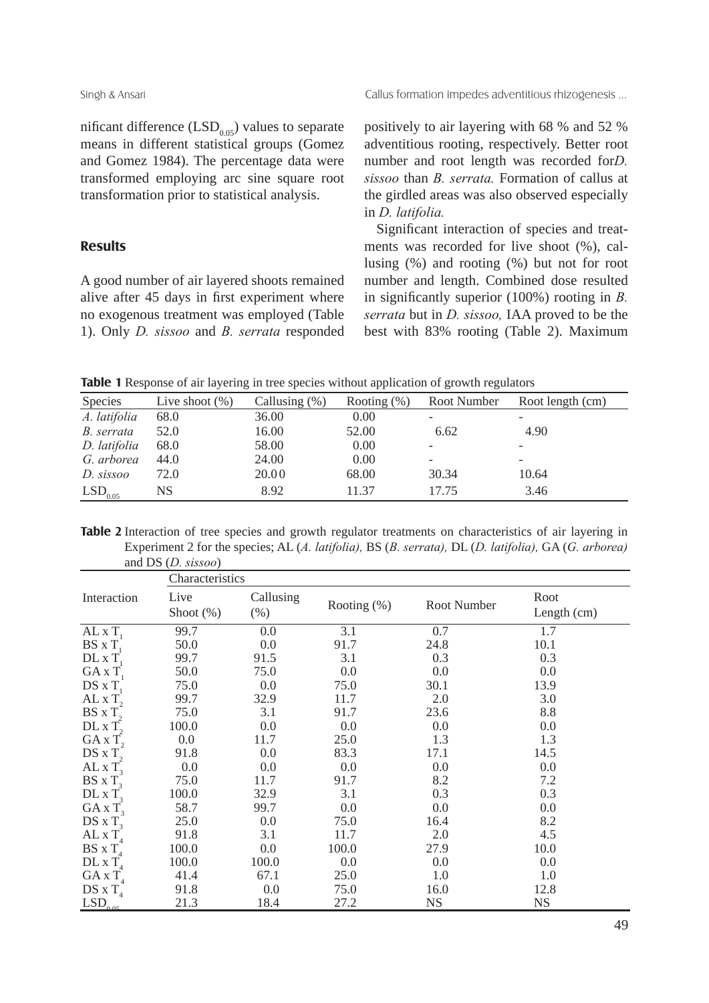nificant difference  $(LSD<sub>0.05</sub>)$  values to separate means in different statistical groups (Gomez and Gomez 1984). The percentage data were transformed employing arc sine square root transformation prior to statistical analysis.

### **Results**

A good number of air layered shoots remained alive after 45 days in first experiment where no exogenous treatment was employed (Table 1). Only *D. sissoo* and *B. serrata* responded positively to air layering with 68 % and 52 % adventitious rooting, respectively. Better root number and root length was recorded for*D. sissoo* than *B. serrata.* Formation of callus at the girdled areas was also observed especially in *D. latifolia.*

Significant interaction of species and treatments was recorded for live shoot (%), callusing (%) and rooting (%) but not for root number and length. Combined dose resulted in significantly superior  $(100\%)$  rooting in *B*. *serrata* but in *D. sissoo,* IAA proved to be the best with 83% rooting (Table 2). Maximum

**Table 1** Response of air layering in tree species without application of growth regulators

| Species               | Live shoot $(\%)$ | Callusing $(\%)$ | Rooting $(\%)$ | Root Number | Root length (cm)         |
|-----------------------|-------------------|------------------|----------------|-------------|--------------------------|
| A. latifolia          | 68.0              | 36.00            | 0.00           |             |                          |
| B. serrata            | 52.0              | 16.00            | 52.00          | 6.62        | 4.90                     |
| D. latifolia          | 68.0              | 58.00            | 0.00           |             | $\overline{\phantom{0}}$ |
| G. arborea            | 44.0              | 24.00            | 0.00           |             | $\overline{\phantom{a}}$ |
| D. sissoo             | 72.0              | 20.00            | 68.00          | 30.34       | 10.64                    |
| $LSD$ <sub>0.05</sub> | NS                | 8.92             | 11.37          | 17.75       | 3.46                     |

Table 2 Interaction of tree species and growth regulator treatments on characteristics of air layering in Experiment 2 for the species; AL (*A. latifolia),* BS (*B. serrata),* DL (*D. latifolia),* GA (*G. arborea)*  and DS (*D. sissoo*)

|                            |                      | Characteristics      |                |             |                       |  |  |  |
|----------------------------|----------------------|----------------------|----------------|-------------|-----------------------|--|--|--|
| Interaction                | Live<br>Shoot $(\%)$ | Callusing<br>$(\% )$ | Rooting $(\%)$ | Root Number | Root<br>Length $(cm)$ |  |  |  |
| AL $xT$                    | 99.7                 | 0.0                  | 3.1            | 0.7         | 1.7                   |  |  |  |
| $BS \times T$              | 50.0                 | 0.0                  | 91.7           | 24.8        | 10.1                  |  |  |  |
| $DL \times T$              | 99.7                 | 91.5                 | 3.1            | 0.3         | 0.3                   |  |  |  |
| $GA \times T$              | 50.0                 | 75.0                 | 0.0            | 0.0         | 0.0                   |  |  |  |
| $DS \times T$              | 75.0                 | 0.0                  | 75.0           | 30.1        | 13.9                  |  |  |  |
| ALX T                      | 99.7                 | 32.9                 | 11.7           | 2.0         | 3.0                   |  |  |  |
| $BS \times T$ ,            | 75.0                 | 3.1                  | 91.7           | 23.6        | 8.8                   |  |  |  |
| $DL \times T$ ,            | 100.0                | 0.0                  | 0.0            | 0.0         | 0.0                   |  |  |  |
| $GA \times T$ ,            | 0.0                  | 11.7                 | 25.0           | 1.3         | 1.3                   |  |  |  |
| $DS \times T$ ,            | 91.8                 | 0.0                  | 83.3           | 17.1        | 14.5                  |  |  |  |
| AL $xT_3$                  | 0.0                  | 0.0                  | 0.0            | 0.0         | 0.0                   |  |  |  |
| $BS \times T$              | 75.0                 | 11.7                 | 91.7           | 8.2         | 7.2                   |  |  |  |
| $DL \times T$              | 100.0                | 32.9                 | 3.1            | 0.3         | 0.3                   |  |  |  |
| $GA \times T$              | 58.7                 | 99.7                 | 0.0            | 0.0         | 0.0                   |  |  |  |
| DS x $T_3$                 | 25.0                 | 0.0                  | 75.0           | 16.4        | 8.2                   |  |  |  |
| $ALX T_A$                  | 91.8                 | 3.1                  | 11.7           | 2.0         | 4.5                   |  |  |  |
| $BS \times T_A$            | 100.0                | 0.0                  | 100.0          | 27.9        | 10.0                  |  |  |  |
| $DL \times T_{4}$          | 100.0                | 100.0                | 0.0            | 0.0         | 0.0                   |  |  |  |
| $GA \times T$ <sub>4</sub> | 41.4                 | 67.1                 | 25.0           | 1.0         | 1.0                   |  |  |  |
| $DS \times T_A$            | 91.8                 | 0.0                  | 75.0           | 16.0        | 12.8                  |  |  |  |
| LSD <sub>0.05</sub>        | 21.3                 | 18.4                 | 27.2           | NS          | <b>NS</b>             |  |  |  |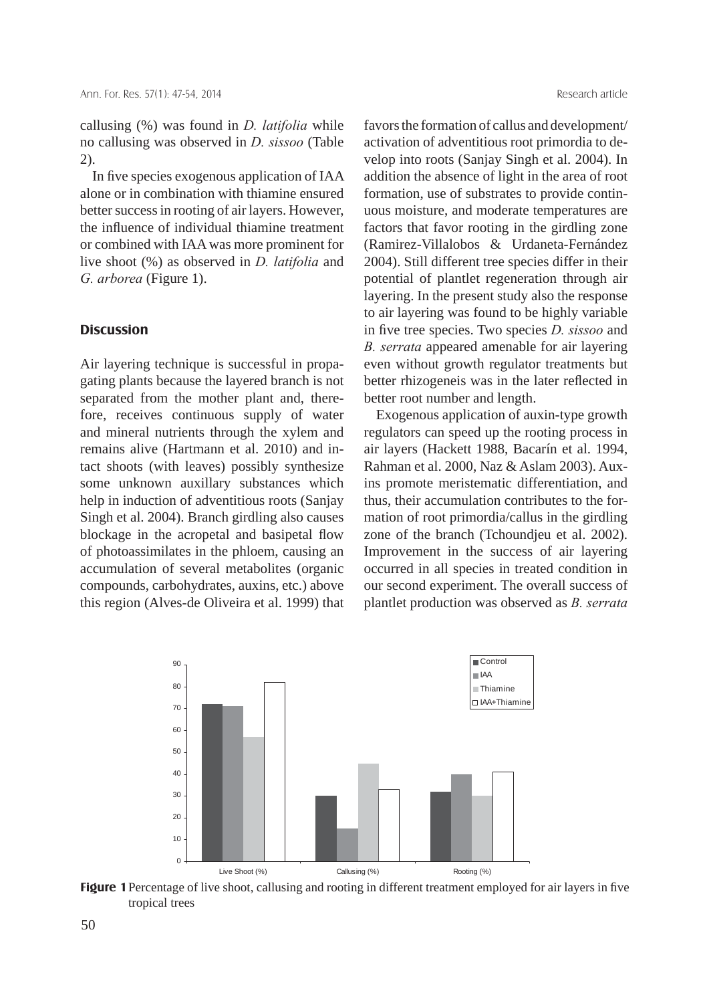callusing (%) was found in *D. latifolia* while no callusing was observed in *D. sissoo* (Table 2).

In five species exogenous application of IAA alone or in combination with thiamine ensured better success in rooting of air layers. However, the influence of individual thiamine treatment or combined with IAA was more prominent for live shoot (%) as observed in *D. latifolia* and *G. arborea* (Figure 1).

#### **Discussion**

Air layering technique is successful in propagating plants because the layered branch is not separated from the mother plant and, therefore, receives continuous supply of water and mineral nutrients through the xylem and remains alive (Hartmann et al. 2010) and intact shoots (with leaves) possibly synthesize some unknown auxillary substances which help in induction of adventitious roots (Sanjay Singh et al. 2004). Branch girdling also causes blockage in the acropetal and basipetal flow of photoassimilates in the phloem, causing an accumulation of several metabolites (organic compounds, carbohydrates, auxins, etc.) above this region (Alves-de Oliveira et al. 1999) that favors the formation of callus and development/ activation of adventitious root primordia to develop into roots (Sanjay Singh et al. 2004). In addition the absence of light in the area of root formation, use of substrates to provide continuous moisture, and moderate temperatures are factors that favor rooting in the girdling zone (Ramirez-Villalobos & Urdaneta-Fernández 2004). Still different tree species differ in their potential of plantlet regeneration through air layering. In the present study also the response to air layering was found to be highly variable in five tree species. Two species *D. sissoo* and *B. serrata* appeared amenable for air layering even without growth regulator treatments but better rhizogeneis was in the later reflected in better root number and length.

 Exogenous application of auxin-type growth regulators can speed up the rooting process in air layers (Hackett 1988, Bacarín et al. 1994, Rahman et al. 2000, Naz & Aslam 2003). Auxins promote meristematic differentiation, and thus, their accumulation contributes to the formation of root primordia/callus in the girdling zone of the branch (Tchoundjeu et al. 2002). Improvement in the success of air layering occurred in all species in treated condition in our second experiment. The overall success of plantlet production was observed as *B. serrata* 



Figure 1 Percentage of live shoot, callusing and rooting in different treatment employed for air layers in five tropical trees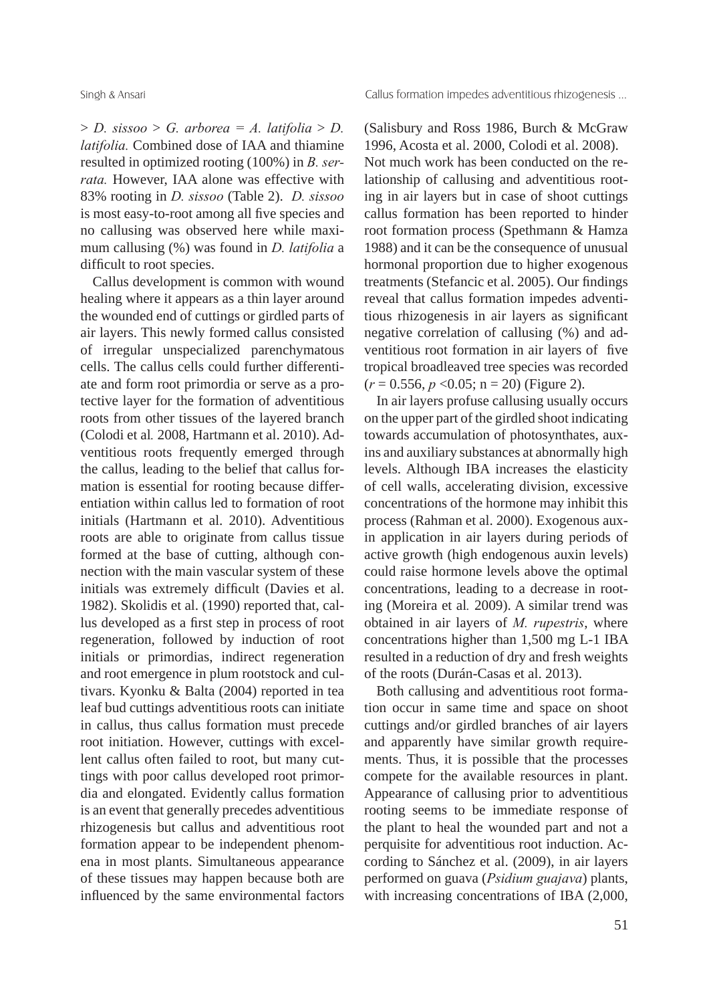$> D$ . sissoo  $> G$ . arborea = A. latifolia  $> D$ . *latifolia.* Combined dose of IAA and thiamine resulted in optimized rooting (100%) in *B. serrata.* However, IAA alone was effective with 83% rooting in *D. sissoo* (Table 2). *D. sissoo*  is most easy-to-root among all five species and no callusing was observed here while maximum callusing (%) was found in *D. latifolia* a difficult to root species.

 Callus development is common with wound healing where it appears as a thin layer around the wounded end of cuttings or girdled parts of air layers. This newly formed callus consisted of irregular unspecialized parenchymatous cells. The callus cells could further differentiate and form root primordia or serve as a protective layer for the formation of adventitious roots from other tissues of the layered branch (Colodi et al*.* 2008, Hartmann et al. 2010). Adventitious roots frequently emerged through the callus, leading to the belief that callus formation is essential for rooting because differentiation within callus led to formation of root initials (Hartmann et al. 2010). Adventitious roots are able to originate from callus tissue formed at the base of cutting, although connection with the main vascular system of these initials was extremely difficult (Davies et al. 1982). Skolidis et al. (1990) reported that, callus developed as a first step in process of root regeneration, followed by induction of root initials or primordias, indirect regeneration and root emergence in plum rootstock and cultivars. Kyonku & Balta (2004) reported in tea leaf bud cuttings adventitious roots can initiate in callus, thus callus formation must precede root initiation. However, cuttings with excellent callus often failed to root, but many cuttings with poor callus developed root primordia and elongated. Evidently callus formation is an event that generally precedes adventitious rhizogenesis but callus and adventitious root formation appear to be independent phenomena in most plants. Simultaneous appearance of these tissues may happen because both are influenced by the same environmental factors

(Salisbury and Ross 1986, Burch & McGraw 1996, Acosta et al. 2000, Colodi et al. 2008). Not much work has been conducted on the relationship of callusing and adventitious rooting in air layers but in case of shoot cuttings callus formation has been reported to hinder root formation process (Spethmann & Hamza 1988) and it can be the consequence of unusual hormonal proportion due to higher exogenous treatments (Stefancic et al. 2005). Our findings reveal that callus formation impedes adventitious rhizogenesis in air layers as significant negative correlation of callusing (%) and adventitious root formation in air layers of five tropical broadleaved tree species was recorded  $(r = 0.556, p < 0.05; n = 20)$  (Figure 2).

 In air layers profuse callusing usually occurs on the upper part of the girdled shoot indicating towards accumulation of photosynthates, auxins and auxiliary substances at abnormally high levels. Although IBA increases the elasticity of cell walls, accelerating division, excessive concentrations of the hormone may inhibit this process (Rahman et al. 2000). Exogenous auxin application in air layers during periods of active growth (high endogenous auxin levels) could raise hormone levels above the optimal concentrations, leading to a decrease in rooting (Moreira et al*.* 2009). A similar trend was obtained in air layers of *M. rupestris*, where concentrations higher than 1,500 mg L-1 IBA resulted in a reduction of dry and fresh weights of the roots (Durán-Casas et al. 2013).

 Both callusing and adventitious root formation occur in same time and space on shoot cuttings and/or girdled branches of air layers and apparently have similar growth requirements. Thus, it is possible that the processes compete for the available resources in plant. Appearance of callusing prior to adventitious rooting seems to be immediate response of the plant to heal the wounded part and not a perquisite for adventitious root induction. According to Sánchez et al. (2009), in air layers performed on guava (*Psidium guajava*) plants, with increasing concentrations of IBA (2,000,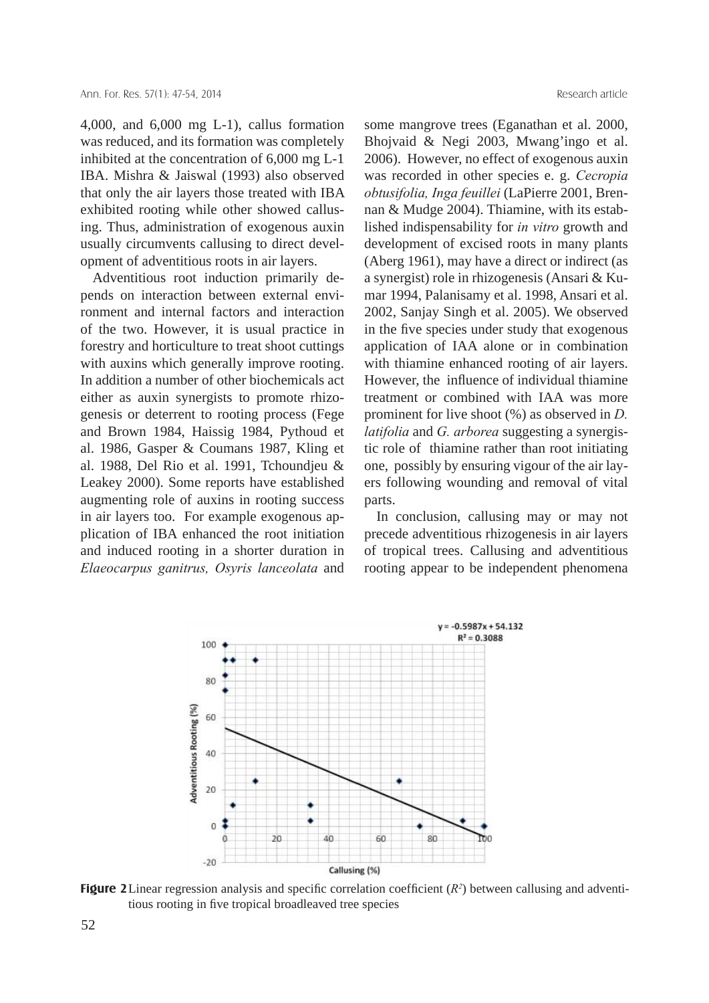4,000, and 6,000 mg L-1), callus formation was reduced, and its formation was completely inhibited at the concentration of 6,000 mg L-1 IBA. Mishra & Jaiswal (1993) also observed that only the air layers those treated with IBA exhibited rooting while other showed callusing. Thus, administration of exogenous auxin usually circumvents callusing to direct development of adventitious roots in air layers.

 Adventitious root induction primarily depends on interaction between external environment and internal factors and interaction of the two. However, it is usual practice in forestry and horticulture to treat shoot cuttings with auxins which generally improve rooting. In addition a number of other biochemicals act either as auxin synergists to promote rhizogenesis or deterrent to rooting process (Fege and Brown 1984, Haissig 1984, Pythoud et al. 1986, Gasper & Coumans 1987, Kling et al. 1988, Del Rio et al. 1991, Tchoundjeu & Leakey 2000). Some reports have established augmenting role of auxins in rooting success in air layers too. For example exogenous application of IBA enhanced the root initiation and induced rooting in a shorter duration in *Elaeocarpus ganitrus, Osyris lanceolata* and

some mangrove trees (Eganathan et al. 2000, Bhojvaid & Negi 2003, Mwang'ingo et al. 2006). However, no effect of exogenous auxin was recorded in other species e. g. *Cecropia obtusifolia, Inga feuillei* (LaPierre 2001, Brennan & Mudge 2004). Thiamine, with its established indispensability for *in vitro* growth and development of excised roots in many plants (Aberg 1961), may have a direct or indirect (as a synergist) role in rhizogenesis (Ansari & Kumar 1994, Palanisamy et al. 1998, Ansari et al. 2002, Sanjay Singh et al. 2005). We observed in the five species under study that exogenous application of IAA alone or in combination with thiamine enhanced rooting of air layers. However, the influence of individual thiamine treatment or combined with IAA was more prominent for live shoot (%) as observed in *D. latifolia* and *G. arborea* suggesting a synergistic role of thiamine rather than root initiating one, possibly by ensuring vigour of the air layers following wounding and removal of vital parts.

 In conclusion, callusing may or may not precede adventitious rhizogenesis in air layers of tropical trees. Callusing and adventitious rooting appear to be independent phenomena



Figure 2 Linear regression analysis and specific correlation coefficient  $(R^2)$  between callusing and adventitious rooting in five tropical broadleaved tree species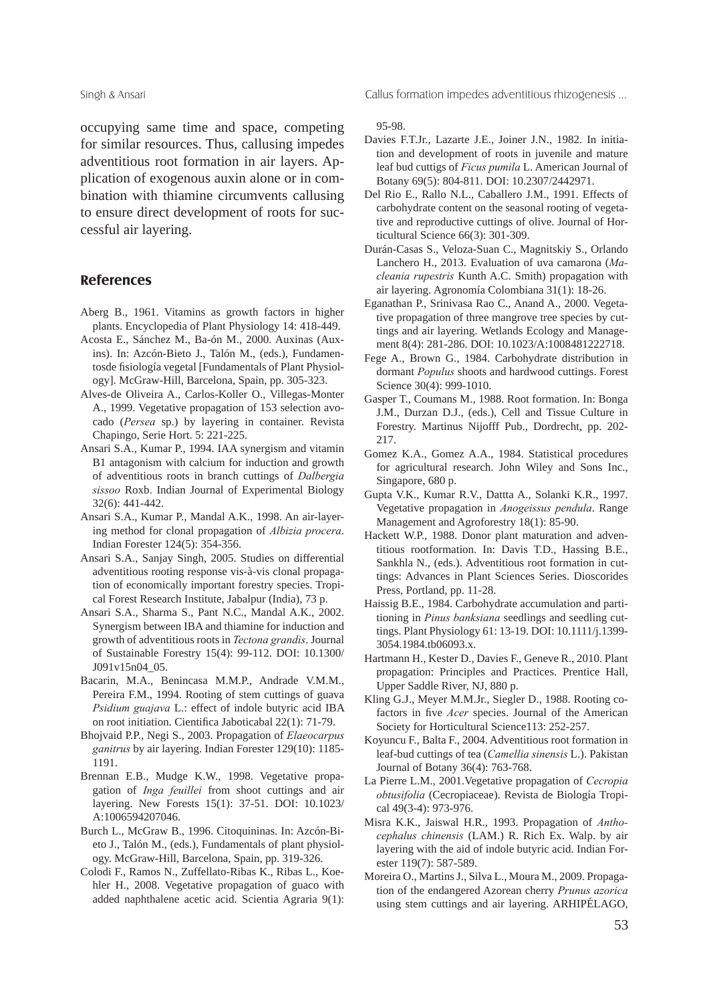occupying same time and space, competing for similar resources. Thus, callusing impedes adventitious root formation in air layers. Application of exogenous auxin alone or in combination with thiamine circumvents callusing to ensure direct development of roots for successful air layering.

## **References**

- Aberg B., 1961. Vitamins as growth factors in higher plants. Encyclopedia of Plant Physiology 14: 418-449.
- Acosta E., Sánchez M., Ba-ón M., 2000. Auxinas (Auxins). In: Azcón-Bieto J., Talón M., (eds.), Fundamentosde fisiología vegetal [Fundamentals of Plant Physiology]. McGraw-Hill, Barcelona, Spain, pp. 305-323.
- Alves-de Oliveira A., Carlos-Koller O., Villegas-Monter A., 1999. Vegetative propagation of 153 selection avocado (*Persea* sp.) by layering in container. Revista Chapingo, Serie Hort. 5: 221-225.
- Ansari S.A., Kumar P., 1994. IAA synergism and vitamin B1 antagonism with calcium for induction and growth of adventitious roots in branch cuttings of *Dalbergia sissoo* Roxb. Indian Journal of Experimental Biology 32(6): 441-442.
- Ansari S.A., Kumar P., Mandal A.K., 1998. An air-layering method for clonal propagation of *Albizia procera*. Indian Forester 124(5): 354-356.
- Ansari S.A., Sanjay Singh, 2005. Studies on differential adventitious rooting response vis-à-vis clonal propagation of economically important forestry species. Tropical Forest Research Institute, Jabalpur (India), 73 p.
- Ansari S.A., Sharma S., Pant N.C., Mandal A.K., 2002. Synergism between IBA and thiamine for induction and growth of adventitious roots in *Tectona grandis*. Journal of Sustainable Forestry 15(4): 99-112. DOI: 10.1300/ J091v15n04\_05.
- Bacarin, M.A., Benincasa M.M.P., Andrade V.M.M., Pereira F.M., 1994. Rooting of stem cuttings of guava *Psidium guajava* L.: effect of indole butyric acid IBA on root initiation. Cientifica Jaboticabal 22(1): 71-79.
- Bhojvaid P.P., Negi S., 2003. Propagation of *Elaeocarpus ganitrus* by air layering. Indian Forester 129(10): 1185- 1191.
- Brennan E.B., Mudge K.W., 1998. Vegetative propagation of *Inga feuillei* from shoot cuttings and air layering. New Forests 15(1): 37-51. DOI: 10.1023/ A:1006594207046.
- Burch L., McGraw B., 1996. Citoquininas. In: Azcón-Bieto J., Talón M., (eds.), Fundamentals of plant physiology. McGraw-Hill, Barcelona, Spain, pp. 319-326.
- Colodi F., Ramos N., Zuffellato-Ribas K., Ribas L., Koehler H., 2008. Vegetative propagation of guaco with added naphthalene acetic acid. Scientia Agraria 9(1):

Singh & Ansari **Callus formation impedes adventitious rhizogenesis ...** 

#### 95-98.

- Davies F.T.Jr., Lazarte J.E., Joiner J.N., 1982. In initiation and development of roots in juvenile and mature leaf bud cuttigs of *Ficus pumila* L. American Journal of Botany 69(5): 804-811. DOI: 10.2307/2442971.
- Del Rio E., Rallo N.L., Caballero J.M., 1991. Effects of carbohydrate content on the seasonal rooting of vegetative and reproductive cuttings of olive. Journal of Horticultural Science 66(3): 301-309.
- Durán-Casas S., Veloza-Suan C., Magnitskiy S., Orlando Lanchero H., 2013. Evaluation of uva camarona (*Macleania rupestris* Kunth A.C. Smith) propagation with air layering. Agronomía Colombiana 31(1): 18-26.
- Eganathan P., Srinivasa Rao C., Anand A., 2000. Vegetative propagation of three mangrove tree species by cuttings and air layering. Wetlands Ecology and Management 8(4): 281-286. DOI: 10.1023/A:1008481222718.
- Fege A., Brown G., 1984. Carbohydrate distribution in dormant *Populus* shoots and hardwood cuttings. Forest Science 30(4): 999-1010.
- Gasper T., Coumans M., 1988. Root formation. In: Bonga J.M., Durzan D.J., (eds.), Cell and Tissue Culture in Forestry. Martinus Nijofff Pub., Dordrecht, pp. 202- 217.
- Gomez K.A., Gomez A.A., 1984. Statistical procedures for agricultural research. John Wiley and Sons Inc., Singapore, 680 p.
- Gupta V.K., Kumar R.V., Dattta A., Solanki K.R., 1997. Vegetative propagation in *Anogeissus pendula*. Range Management and Agroforestry 18(1): 85-90.
- Hackett W.P., 1988. Donor plant maturation and adventitious rootformation. In: Davis T.D., Hassing B.E., Sankhla N., (eds.). Adventitious root formation in cuttings: Advances in Plant Sciences Series. Dioscorides Press, Portland, pp. 11-28.
- Haissig B.E., 1984. Carbohydrate accumulation and partitioning in *Pinus banksiana* seedlings and seedling cuttings. Plant Physiology 61: 13-19. DOI: 10.1111/j.1399- 3054.1984.tb06093.x.
- Hartmann H., Kester D., Davies F., Geneve R., 2010. Plant propagation: Principles and Practices. Prentice Hall, Upper Saddle River, NJ, 880 p.
- Kling G.J., Meyer M.M.Jr., Siegler D., 1988. Rooting cofactors in five *Acer* species. Journal of the American Society for Horticultural Science113: 252-257.
- Koyuncu F., Balta F., 2004. Adventitious root formation in leaf-bud cuttings of tea (*Camellia sinensis* L.). Pakistan Journal of Botany 36(4): 763-768.
- La Pierre L.M., 2001.Vegetative propagation of *Cecropia obtusifolia* (Cecropiaceae). Revista de Biología Tropical 49(3-4): 973-976.
- Misra K.K., Jaiswal H.R., 1993. Propagation of *Anthocephalus chinensis* (LAM.) R. Rich Ex. Walp. by air layering with the aid of indole butyric acid. Indian Forester 119(7): 587-589.
- Moreira O., Martins J., Silva L., Moura M., 2009. Propagation of the endangered Azorean cherry *Prunus azorica* using stem cuttings and air layering. ARHIPÉLAGO,